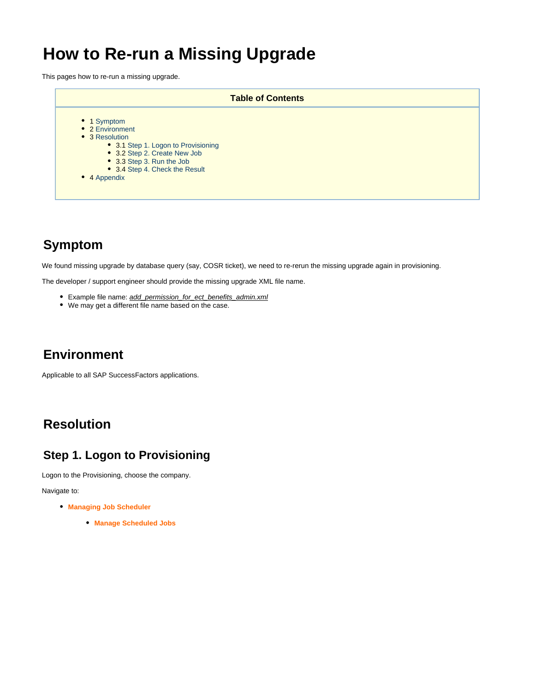## **How to Re-run a Missing Upgrade**

This pages how to re-run a missing upgrade.

|                                                                                                                                                                                                        | <b>Table of Contents</b> |
|--------------------------------------------------------------------------------------------------------------------------------------------------------------------------------------------------------|--------------------------|
| • 1 Symptom<br>• 2 Environment<br>• 3 Resolution<br>• 3.1 Step 1. Logon to Provisioning<br>• 3.2 Step 2. Create New Job<br>• 3.3 Step 3. Run the Job<br>• 3.4 Step 4. Check the Result<br>• 4 Appendix |                          |

## <span id="page-0-0"></span>**Symptom**

We found missing upgrade by database query (say, COSR ticket), we need to re-rerun the missing upgrade again in provisioning.

The developer / support engineer should provide the missing upgrade XML file name.

- Example file name: add\_permission\_for\_ect\_benefits\_admin.xml
- We may get a different file name based on the case.

### <span id="page-0-1"></span>**Environment**

Applicable to all SAP SuccessFactors applications.

## <span id="page-0-2"></span>**Resolution**

### <span id="page-0-3"></span>**Step 1. Logon to Provisioning**

Logon to the Provisioning, choose the company.

Navigate to:

- **Managing Job Scheduler**
	- **Manage Scheduled Jobs**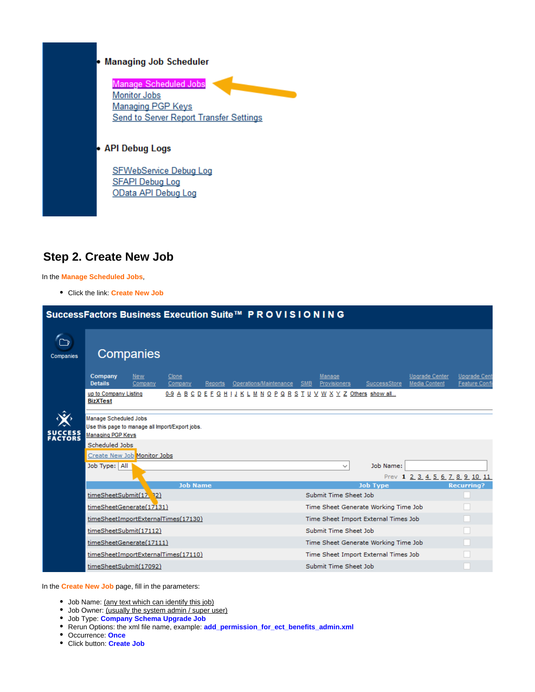## **Managing Job Scheduler** b Manage Scheduled Jobs **Monitor Jobs** Managing PGP Keys **Send to Server Report Transfer Settings** • API Debug Logs SFWebService Debug Log **SFAPI Debug Log** OData API Debug Log

#### <span id="page-1-0"></span>**Step 2. Create New Job**

In the **Manage Scheduled Jobs**,

Click the link: **Create New Job**

|                    | SuccessFactors Business Execution Suite™ PROVISIONING                                         |                             |                                                                         |                                      |                                      |                                               |                                             |
|--------------------|-----------------------------------------------------------------------------------------------|-----------------------------|-------------------------------------------------------------------------|--------------------------------------|--------------------------------------|-----------------------------------------------|---------------------------------------------|
| Companies          | Companies                                                                                     |                             |                                                                         |                                      |                                      |                                               |                                             |
|                    | Company<br><b>New</b><br><b>Details</b><br>Company                                            | Clone<br>Company<br>Reports | Operations/Maintenance                                                  | Manage<br><b>SMB</b><br>Provisioners | SuccessStore                         | <b>Upgrade Center</b><br><b>Media Content</b> | <b>Upgrade Cent</b><br><b>Feature Confi</b> |
|                    | up to Company Listing<br><b>BizXTest</b>                                                      |                             | 0-9 A B C D E F G H I J K L M N O P Q R S T U V W X Y Z Others show all |                                      |                                      |                                               |                                             |
| SUCCESS<br>FACTORS | Manage Scheduled Jobs<br>Use this page to manage all import/Export jobs.<br>Managing PGP Keys |                             |                                                                         |                                      |                                      |                                               |                                             |
|                    | Scheduled Jobs<br>Create New Job Monitor Jobs                                                 |                             |                                                                         |                                      |                                      |                                               |                                             |
|                    | Job Type: All                                                                                 |                             |                                                                         | $\checkmark$                         | Job Name:                            | Prev 1 2 3 4 5 6 7 8 9 10 11                  |                                             |
|                    | timeSheetSubmit(17, 32)                                                                       | <b>Job Name</b>             |                                                                         | Submit Time Sheet Job                | <b>Job Type</b>                      |                                               | <b>Recurring?</b>                           |
|                    | timeSheetGenerate(17131)                                                                      |                             |                                                                         |                                      | Time Sheet Generate Working Time Job |                                               |                                             |
|                    | timeSheetImportExternalTimes(17130)                                                           |                             |                                                                         |                                      | Time Sheet Import External Times Job |                                               |                                             |
|                    | timeSheetSubmit(17112)                                                                        |                             |                                                                         | Submit Time Sheet Job                |                                      |                                               |                                             |
|                    | timeSheetGenerate(17111)                                                                      |                             |                                                                         |                                      | Time Sheet Generate Working Time Job |                                               |                                             |
|                    | timeSheetImportExternalTimes(17110)                                                           |                             |                                                                         |                                      | Time Sheet Import External Times Job |                                               |                                             |
|                    | timeSheetSubmit(17092)                                                                        |                             |                                                                         | Submit Time Sheet Job                |                                      |                                               |                                             |

In the **Create New Job** page, fill in the parameters:

- Job Name: (any text which can identify this job)
- Job Owner: (usually the system admin / super user)
- Job Type: **Company Schema Upgrade Job**
- Rerun Options: the xml file name, example: **add\_permission\_for\_ect\_benefits\_admin.xml**
- Occurrence: **Once**
- Click button: **Create Job**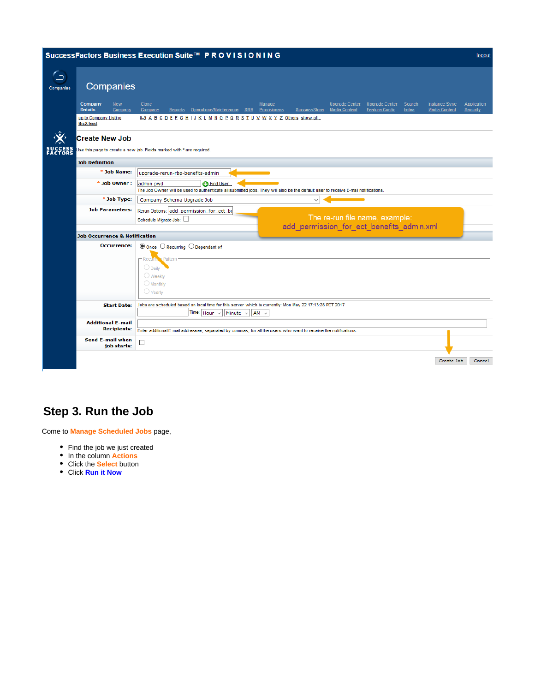|                    |                                                    | SuccessFactors Business Execution Suite™ PROVISIONING                                                                                                                                                                                                                  | logout                         |
|--------------------|----------------------------------------------------|------------------------------------------------------------------------------------------------------------------------------------------------------------------------------------------------------------------------------------------------------------------------|--------------------------------|
| ∕o<br>Companies    | Companies                                          |                                                                                                                                                                                                                                                                        |                                |
|                    | Company<br><b>New</b><br><b>Details</b><br>Company | Clone<br><b>Upgrade Center</b><br><b>Upgrade Center</b><br><b>Instance Sync</b><br>Manage<br>Search<br>Reports Operations/Maintenance SMB<br>SuccessStore<br><b>Media Content</b><br>Company<br>Provisioners<br><b>Feature Config</b><br>Index<br><b>Media Content</b> | <b>Application</b><br>Security |
|                    | up to Company Listing<br><b>BizXTest</b>           | <u>0-9 A B C D E F G H ! J K L M N O P Q R S T U V W X Y Z Others show all</u>                                                                                                                                                                                         |                                |
|                    | <b>Create New Job</b>                              |                                                                                                                                                                                                                                                                        |                                |
| SUCCESS<br>FACTORS |                                                    | Use this page to create a new job. Fields marked with * are required.                                                                                                                                                                                                  |                                |
|                    | <b>Job Definition</b>                              |                                                                                                                                                                                                                                                                        |                                |
|                    | * Job Name:                                        | upgrade-rerun-rbp-benefits-admin                                                                                                                                                                                                                                       |                                |
|                    | * Job Owner :                                      | admin pwd<br><b>C</b> Find User<br>The Job Owner will be used to authenticate all submitted jobs. They will also be the default user to receive E-mail notifications.                                                                                                  |                                |
|                    | * Job Type:                                        | Company Schema Upgrade Job<br>$\checkmark$                                                                                                                                                                                                                             |                                |
|                    | <b>Job Parameters:</b>                             | Rerun Options: add_permission_for_ect_be<br>The re-run file name, example:<br>Schedule Migrate Job:<br>add_permission_for_ect_benefits_admin.xml                                                                                                                       |                                |
|                    | <b>Job Occurrence &amp; Notification</b>           |                                                                                                                                                                                                                                                                        |                                |
|                    | <b>Occurrence:</b>                                 | $\circledcirc$ Once $\circlearrowright$ Recurring $\circlearrowright$ Dependant of<br>- Recurry & Pattern<br>O Daily<br>$\bigcirc$ Weekly<br>$\bigcirc$ Monthly                                                                                                        |                                |
|                    |                                                    | $\bigcirc$ Yearly                                                                                                                                                                                                                                                      |                                |
|                    | <b>Start Date:</b>                                 | Jobs are scheduled based on local time for this server which is currently: Mon May 22 17:13:28 PDT 2017<br>Time: $\vert$ Hour $\vert \vee \vert$<br>Minute $\sim$<br>$AM \vee$                                                                                         |                                |
|                    | <b>Additional E-mail</b><br><b>Recipients:</b>     | Enter additional E-mail addresses, separated by commas, for all the users who want to receive the notifications.                                                                                                                                                       |                                |
|                    | Send E-mail when<br>job starts:                    | $\Box$                                                                                                                                                                                                                                                                 |                                |
|                    |                                                    | Create Job                                                                                                                                                                                                                                                             | Cancel                         |

## <span id="page-2-0"></span>**Step 3. Run the Job**

Come to **Manage Scheduled Jobs** page,

- Find the job we just created
- In the column **Actions**
- Click the **Select** button
- Click **Run it Now**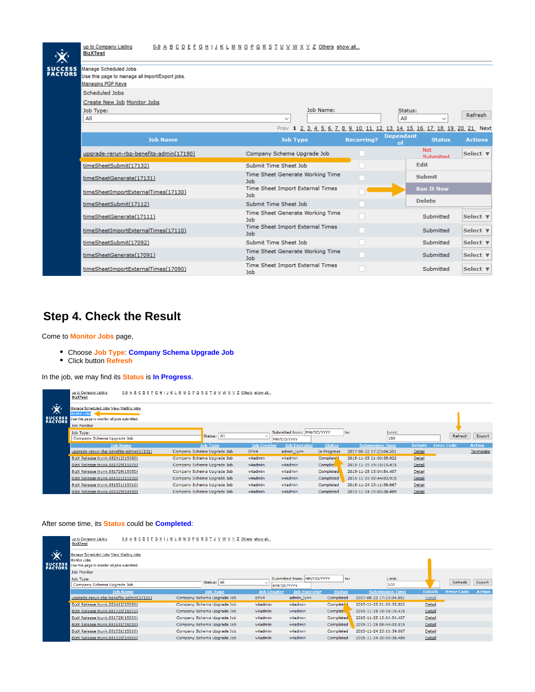|                           | up to Company Listing<br>0-9 A B C D E F G H I J K L M N O P Q R S T U V W X Y Z Others show all<br><b>BizXTest</b> |                                                |           |                   |                                                                 |                |
|---------------------------|---------------------------------------------------------------------------------------------------------------------|------------------------------------------------|-----------|-------------------|-----------------------------------------------------------------|----------------|
| <b>SUCCESS</b><br>FACTORS | Manage Scheduled Jobs<br>Use this page to manage all import/Export jobs.<br><b>Managing PGP Keys</b>                |                                                |           |                   |                                                                 |                |
|                           | Scheduled Jobs                                                                                                      |                                                |           |                   |                                                                 |                |
|                           | Create New Job Monitor Jobs                                                                                         |                                                |           |                   |                                                                 |                |
|                           | Job Type:<br>All                                                                                                    | $\checkmark$                                   | Job Name: |                   | Status:<br>All<br>$\checkmark$                                  | Refresh        |
|                           |                                                                                                                     |                                                |           |                   | Prev 1 2 3 4 5 6 7 8 9 10 11 12 13 14 15 16 17 18 19 20 21 Next |                |
|                           | <b>Job Name</b>                                                                                                     | <b>Job Type</b>                                |           | <b>Recurring?</b> | <b>Dependant</b><br><b>Status</b><br>$\alpha$ f                 | <b>Actions</b> |
|                           | upgrade-rerun-rbp-benefits-admin(17190)                                                                             | Company Schema Upgrade Job                     |           |                   | <b>Not</b><br>Submitted                                         | Select v       |
|                           | timeSheetSubmit(17132)                                                                                              | Submit Time Sheet Job                          |           |                   | Edit                                                            |                |
|                           | timeSheetGenerate(17131)                                                                                            | Time Sheet Generate Working Time<br><b>Job</b> |           |                   | <b>Submit</b>                                                   |                |
|                           | timeSheetImportExternalTimes(17130)                                                                                 | Time Sheet Import External Times<br>Job        |           |                   | <b>Run It Now</b>                                               |                |
|                           | timeSheetSubmit(17112)                                                                                              | Submit Time Sheet Job                          |           |                   | <b>Delete</b>                                                   |                |
|                           | timeSheetGenerate(17111)                                                                                            | Time Sheet Generate Working Time<br><b>Job</b> |           |                   | Submitted                                                       | Select v       |
|                           | timeSheetImportExternalTimes(17110)                                                                                 | Time Sheet Import External Times<br>Job        |           |                   | Submitted                                                       | Select v       |
|                           | timeSheetSubmit(17092)                                                                                              | Submit Time Sheet Job                          |           |                   | Submitted                                                       | Select ▼       |
|                           | timeSheetGenerate(17091)                                                                                            | Time Sheet Generate Working Time<br><b>Job</b> |           |                   | Submitted                                                       | Select ▼       |
|                           | timeSheetImportExternalTimes(17090)                                                                                 | Time Sheet Import External Times<br><b>Job</b> |           |                   | Submitted                                                       | Select ▼       |

## <span id="page-3-0"></span>**Step 4. Check the Result**

Come to **Monitor Jobs** page,

г

- Choose **Job Type**: **Company Schema Upgrade Job**
- Click button **Refresh**

In the job, we may find its **Status** is **In Progress**.

|                                           | up to Company Listing<br><b>BizXTest</b>                                                                      | 0-9 A B C D E F G H I J K L M N O P Q R S T U V W X Y Z Others show all |                    |                            |                       |                         |                |                                    |
|-------------------------------------------|---------------------------------------------------------------------------------------------------------------|-------------------------------------------------------------------------|--------------------|----------------------------|-----------------------|-------------------------|----------------|------------------------------------|
| $\hat{\mathbf{w}}$<br>◚<br><b>SUCCESS</b> | Manage Scheduled Jobs View Waiting Jobs<br><b>Ionitor Job</b><br>Use this page to monitor all jobs submitted. |                                                                         |                    |                            |                       |                         |                |                                    |
|                                           | Job Monitor                                                                                                   |                                                                         |                    |                            |                       |                         |                |                                    |
|                                           | Job Type:                                                                                                     | Status: All                                                             | $\checkmark$       | Submitted from: MM/DD/YYYY |                       | Limit:<br>to:           |                | Export<br>Refresh                  |
|                                           | Company Schema Upgrade Job                                                                                    |                                                                         |                    | MM/DD/YYYY                 |                       | 100                     |                |                                    |
|                                           | <b>Job Name</b>                                                                                               | <b>Job Type</b>                                                         | <b>Job Creator</b> | <b>Job Executor</b>        | <b>Status</b>         | <b>Submission Time</b>  | <b>Details</b> | <b>Error Code</b><br><b>Action</b> |
|                                           | upgrade-rerun-rbp-benefits-admin(17191)                                                                       | Company Schema Upgrade Job                                              | SFV4               | admin_lynn                 | In Progress           | 2017-05-22 17:23:04.551 | <b>Detail</b>  | Terminate                          |
|                                           | BizX Release trunk.882412(15090)                                                                              | Company Schema Upgrade Job                                              | v4admin            | v4admin                    | Complete <sup>1</sup> | 2015-11-25 21:00:35.822 | Detail         |                                    |
|                                           | BizX Release trunk.881729(15071)                                                                              | Company Schema Upgrade Job                                              | v4admin            | v4admin                    | Complet               | 2015-11-25 19:18:15.415 | Detail         |                                    |
|                                           | BizX Release trunk.881729(15050)                                                                              | Company Schema Upgrade Job                                              | v4admin            | v4admin                    | Completed             | 2015-11-25 13:04:54.407 | <b>Detail</b>  |                                    |
|                                           | BizX Release trunk.881531(15030)                                                                              | Company Schema Upgrade Job                                              | v4admin            | v4admin                    | Completed             | 2015-11-25 08:44:03.915 | Detail         |                                    |
|                                           | BizX Release trunk.881531(15010)                                                                              | Company Schema Upgrade Job                                              | v4admin            | v4admin                    | Completed             | 2015-11-24 23:11:39.667 | <b>Detail</b>  |                                    |
|                                           | BizX Release trunk.881329(14990)                                                                              | Company Schema Upgrade Job                                              | v4admin            | v4admin                    | Completed             | 2015-11-24 20:00:38.489 | Detail         |                                    |

#### After some time, its **Status** could be **Completed**:

|                                     | up to Company Listing<br><b>BizXTest</b>                                                                       | 0-9 A B C D E F G H I J K L M N O P Q R S T U V W X Y Z Others show all |                    |                            |               |                         |                |                   |               |
|-------------------------------------|----------------------------------------------------------------------------------------------------------------|-------------------------------------------------------------------------|--------------------|----------------------------|---------------|-------------------------|----------------|-------------------|---------------|
| $\infty$<br>↗<br>SUCCESS<br>FACTORS | Manage Scheduled Jobs View Waiting Jobs<br><b>Monitor Jobs</b><br>Use this page to monitor all jobs submitted. |                                                                         |                    |                            |               |                         |                |                   |               |
|                                     | Job Monitor                                                                                                    |                                                                         |                    |                            |               |                         |                |                   |               |
|                                     | Job Type:<br>Company Schema Upgrade Job                                                                        | Status: All                                                             |                    | Submitted from: MM/DD/YYYY | to:           | Limit:<br>100           |                | Refresh           | Export        |
|                                     |                                                                                                                |                                                                         | MM/DD/YYYY         |                            |               |                         |                |                   |               |
|                                     | <b>Job Name</b>                                                                                                | <b>Job Type</b>                                                         | <b>Job Creator</b> | <b>Job Executor</b>        | <b>Status</b> | <b>Submission Time</b>  | <b>Details</b> | <b>Error Code</b> | <b>Action</b> |
|                                     | upgrade-rerun-rbp-benefits-admin(17191)                                                                        | Company Schema Upgrade Job                                              | SFV4               | admin lynn                 | Completed     | 2017-05-22 17:23:04.551 | Detail         |                   |               |
|                                     | BizX Release trunk.882412(15090)                                                                               | Company Schema Upgrade Job                                              | v4admin            | v4admin                    | Complete      | 2015-11-25 21:00:35.822 | Detail         |                   |               |
|                                     | BizX Release trunk.881729(15071)                                                                               | Company Schema Upgrade Job                                              | v4admin            | v4admin                    | Complet.      | 2015-11-25 19:18:15.415 | Detail         |                   |               |
|                                     | BizX Release trunk.881729(15050)                                                                               | Company Schema Upgrade Job                                              | v4admin            | v4admin                    | Completed     | 2015-11-25 13:04:54.407 | Detail         |                   |               |
|                                     | BizX Release trunk.881531(15030)                                                                               | Company Schema Upgrade Job                                              | v4admin            | v4admin                    | Completed     | 2015-11-25 08:44:03.915 | Detail         |                   |               |
|                                     | BizX Release trunk.881531(15010)                                                                               | Company Schema Upgrade Job                                              | v4admin            | v4admin                    | Completed     | 2015-11-24 23:11:39.667 | Detail         |                   |               |
|                                     | BizX Release trunk.881329(14990)                                                                               | Company Schema Upgrade Job                                              | v4admin            | v4admin                    | Completed     | 2015-11-24 20:00:38.489 | Detail         |                   |               |